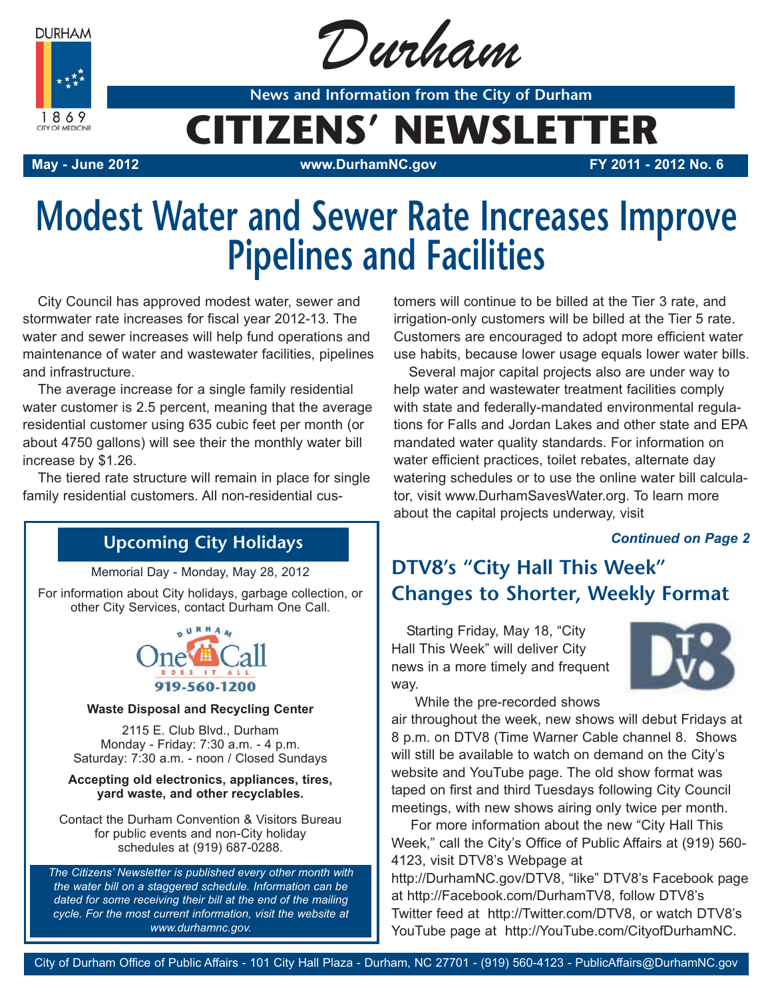**DURHAM** 



Durham

**News and Information from the City of Durham**

# **CITIZENS' NEWSLETTER**

**May - June 2012 www.DurhamNC.gov FY 2011 - 2012 No. 6**

# **Modest Water and Sewer Rate Increases Improve Pipelines and Facilities**

City Council has approved modest water, sewer and stormwater rate increases for fiscal year 2012-13. The water and sewer increases will help fund operations and maintenance of water and wastewater facilities, pipelines and infrastructure.

The average increase for a single family residential water customer is 2.5 percent, meaning that the average residential customer using 635 cubic feet per month (or about 4750 gallons) will see their the monthly water bill increase by \$1.26.

The tiered rate structure will remain in place for single family residential customers. All non-residential cus-

## **Upcoming City Holidays**

Memorial Day - Monday, May 28, 2012

For information about City holidays, garbage collection, or other City Services, contact Durham One Call.



#### **Waste Disposal and Recycling Center**

2115 E. Club Blvd., Durham Monday - Friday: 7:30 a.m. - 4 p.m. Saturday: 7:30 a.m. - noon / Closed Sundays

#### **Accepting old electronics, appliances, tires, yard waste, and other recyclables.**

Contact the Durham Convention & Visitors Bureau for public events and non-City holiday schedules at (919) 687-0288.

*The Citizens' Newsletter is published every other month with the water bill on a staggered schedule. Information can be dated for some receiving their bill at the end of the mailing cycle. For the most current information, visit the website at www.durhamnc.gov.*

tomers will continue to be billed at the Tier 3 rate, and irrigation-only customers will be billed at the Tier 5 rate. Customers are encouraged to adopt more efficient water use habits, because lower usage equals lower water bills.

Several major capital projects also are under way to help water and wastewater treatment facilities comply with state and federally-mandated environmental regulations for Falls and Jordan Lakes and other state and EPA mandated water quality standards. For information on water efficient practices, toilet rebates, alternate day watering schedules or to use the online water bill calculator, visit www.DurhamSavesWater.org. To learn more about the capital projects underway, visit

#### *Continued on Page 2*

## **DTV8's "City Hall This Week" Changes to Shorter, Weekly Format**

Starting Friday, May 18, "City Hall This Week" will deliver City news in a more timely and frequent way.



While the pre-recorded shows

air throughout the week, new shows will debut Fridays at 8 p.m. on DTV8 (Time Warner Cable channel 8. Shows will still be available to watch on demand on the City's website and YouTube page. The old show format was taped on first and third Tuesdays following City Council meetings, with new shows airing only twice per month.

For more information about the new "City Hall This Week," call the City's Office of Public Affairs at (919) 560- 4123, visit DTV8's Webpage at http://DurhamNC.gov/DTV8, "like" DTV8's Facebook page at http://Facebook.com/DurhamTV8, follow DTV8's Twitter feed at http://Twitter.com/DTV8, or watch DTV8's YouTube page at http://YouTube.com/CityofDurhamNC.